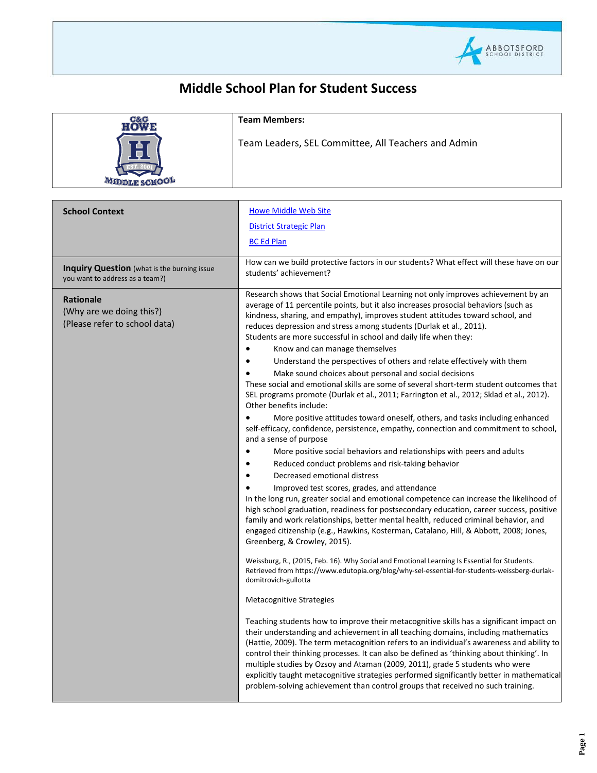

## **Middle School Plan for Student Success**

| C& G | <b>Team Members:</b>                                |
|------|-----------------------------------------------------|
|      | Team Leaders, SEL Committee, All Teachers and Admin |

| <b>School Context</b>                                                                 | <b>Howe Middle Web Site</b><br><b>District Strategic Plan</b><br><b>BC Ed Plan</b>                                                                                                                                                                                                                                                                                                                                                                                                                                                                                                                                                                                                                                                                                                                                                                                                                                                                                                                                                                                                                                                                                                                                                                                                                                                                                                                                                                                                                                                                                                                                                                                                                                                                                                                                                                 |
|---------------------------------------------------------------------------------------|----------------------------------------------------------------------------------------------------------------------------------------------------------------------------------------------------------------------------------------------------------------------------------------------------------------------------------------------------------------------------------------------------------------------------------------------------------------------------------------------------------------------------------------------------------------------------------------------------------------------------------------------------------------------------------------------------------------------------------------------------------------------------------------------------------------------------------------------------------------------------------------------------------------------------------------------------------------------------------------------------------------------------------------------------------------------------------------------------------------------------------------------------------------------------------------------------------------------------------------------------------------------------------------------------------------------------------------------------------------------------------------------------------------------------------------------------------------------------------------------------------------------------------------------------------------------------------------------------------------------------------------------------------------------------------------------------------------------------------------------------------------------------------------------------------------------------------------------------|
| <b>Inquiry Question</b> (what is the burning issue<br>you want to address as a team?) | How can we build protective factors in our students? What effect will these have on our<br>students' achievement?                                                                                                                                                                                                                                                                                                                                                                                                                                                                                                                                                                                                                                                                                                                                                                                                                                                                                                                                                                                                                                                                                                                                                                                                                                                                                                                                                                                                                                                                                                                                                                                                                                                                                                                                  |
| <b>Rationale</b><br>(Why are we doing this?)<br>(Please refer to school data)         | Research shows that Social Emotional Learning not only improves achievement by an<br>average of 11 percentile points, but it also increases prosocial behaviors (such as<br>kindness, sharing, and empathy), improves student attitudes toward school, and<br>reduces depression and stress among students (Durlak et al., 2011).<br>Students are more successful in school and daily life when they:                                                                                                                                                                                                                                                                                                                                                                                                                                                                                                                                                                                                                                                                                                                                                                                                                                                                                                                                                                                                                                                                                                                                                                                                                                                                                                                                                                                                                                              |
|                                                                                       | Know and can manage themselves<br>Understand the perspectives of others and relate effectively with them<br>Make sound choices about personal and social decisions<br>These social and emotional skills are some of several short-term student outcomes that<br>SEL programs promote (Durlak et al., 2011; Farrington et al., 2012; Sklad et al., 2012).<br>Other benefits include:<br>More positive attitudes toward oneself, others, and tasks including enhanced<br>self-efficacy, confidence, persistence, empathy, connection and commitment to school,<br>and a sense of purpose<br>More positive social behaviors and relationships with peers and adults<br>Reduced conduct problems and risk-taking behavior<br>Decreased emotional distress<br>Improved test scores, grades, and attendance<br>In the long run, greater social and emotional competence can increase the likelihood of<br>high school graduation, readiness for postsecondary education, career success, positive<br>family and work relationships, better mental health, reduced criminal behavior, and<br>engaged citizenship (e.g., Hawkins, Kosterman, Catalano, Hill, & Abbott, 2008; Jones,<br>Greenberg, & Crowley, 2015).<br>Weissburg, R., (2015, Feb. 16). Why Social and Emotional Learning Is Essential for Students.<br>Retrieved from https://www.edutopia.org/blog/why-sel-essential-for-students-weissberg-durlak-<br>domitrovich-gullotta<br><b>Metacognitive Strategies</b><br>Teaching students how to improve their metacognitive skills has a significant impact on<br>their understanding and achievement in all teaching domains, including mathematics<br>(Hattie, 2009). The term metacognition refers to an individual's awareness and ability to<br>control their thinking processes. It can also be defined as 'thinking about thinking'. In |
|                                                                                       | multiple studies by Ozsoy and Ataman (2009, 2011), grade 5 students who were<br>explicitly taught metacognitive strategies performed significantly better in mathematical<br>problem-solving achievement than control groups that received no such training.                                                                                                                                                                                                                                                                                                                                                                                                                                                                                                                                                                                                                                                                                                                                                                                                                                                                                                                                                                                                                                                                                                                                                                                                                                                                                                                                                                                                                                                                                                                                                                                       |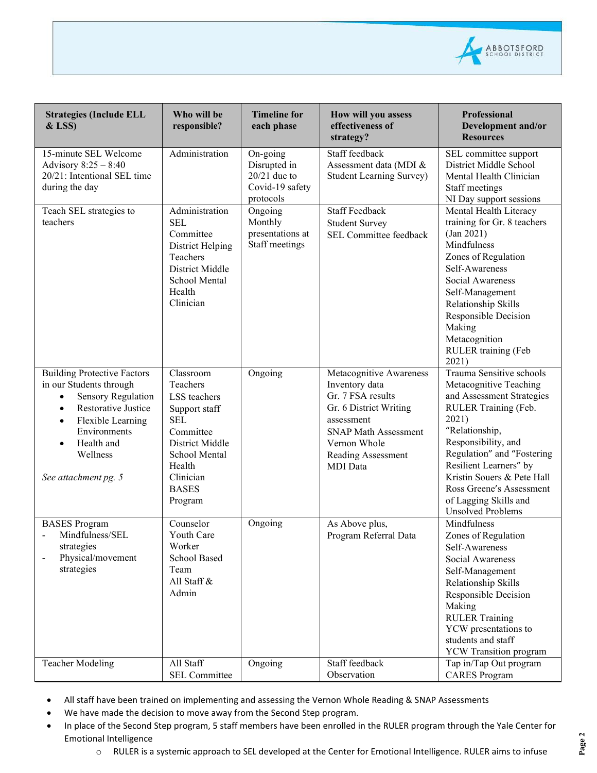

| <b>Strategies (Include ELL</b><br>$&$ LSS)                                                                                                                                                                                               | Who will be<br>responsible?                                                                                                                                             | <b>Timeline for</b><br>each phase                                          | How will you assess<br>effectiveness of<br>strategy?                                                                                                                                           | <b>Professional</b><br>Development and/or<br><b>Resources</b>                                                                                                                                                                                                                                                                    |
|------------------------------------------------------------------------------------------------------------------------------------------------------------------------------------------------------------------------------------------|-------------------------------------------------------------------------------------------------------------------------------------------------------------------------|----------------------------------------------------------------------------|------------------------------------------------------------------------------------------------------------------------------------------------------------------------------------------------|----------------------------------------------------------------------------------------------------------------------------------------------------------------------------------------------------------------------------------------------------------------------------------------------------------------------------------|
| 15-minute SEL Welcome<br>Advisory 8:25 - 8:40<br>20/21: Intentional SEL time<br>during the day                                                                                                                                           | Administration                                                                                                                                                          | On-going<br>Disrupted in<br>$20/21$ due to<br>Covid-19 safety<br>protocols | Staff feedback<br>Assessment data (MDI &<br><b>Student Learning Survey)</b>                                                                                                                    | SEL committee support<br>District Middle School<br>Mental Health Clinician<br>Staff meetings<br>NI Day support sessions                                                                                                                                                                                                          |
| Teach SEL strategies to<br>teachers                                                                                                                                                                                                      | Administration<br><b>SEL</b><br>Committee<br>District Helping<br>Teachers<br>District Middle<br>School Mental<br>Health<br>Clinician                                    | Ongoing<br>Monthly<br>presentations at<br>Staff meetings                   | <b>Staff Feedback</b><br><b>Student Survey</b><br>SEL Committee feedback                                                                                                                       | Mental Health Literacy<br>training for Gr. 8 teachers<br>(Jan 2021)<br>Mindfulness<br>Zones of Regulation<br>Self-Awareness<br>Social Awareness<br>Self-Management<br>Relationship Skills<br>Responsible Decision<br>Making<br>Metacognition<br>RULER training (Feb<br>2021)                                                     |
| <b>Building Protective Factors</b><br>in our Students through<br>Sensory Regulation<br>Restorative Justice<br>$\bullet$<br>Flexible Learning<br>$\bullet$<br>Environments<br>Health and<br>$\bullet$<br>Wellness<br>See attachment pg. 5 | Classroom<br>Teachers<br>LSS teachers<br>Support staff<br><b>SEL</b><br>Committee<br>District Middle<br>School Mental<br>Health<br>Clinician<br><b>BASES</b><br>Program | Ongoing                                                                    | Metacognitive Awareness<br>Inventory data<br>Gr. 7 FSA results<br>Gr. 6 District Writing<br>assessment<br><b>SNAP Math Assessment</b><br>Vernon Whole<br>Reading Assessment<br><b>MDI</b> Data | Trauma Sensitive schools<br>Metacognitive Teaching<br>and Assessment Strategies<br>RULER Training (Feb.<br>2021)<br>"Relationship,<br>Responsibility, and<br>Regulation" and "Fostering<br>Resilient Learners" by<br>Kristin Souers & Pete Hall<br>Ross Greene's Assessment<br>of Lagging Skills and<br><b>Unsolved Problems</b> |
| <b>BASES</b> Program<br>Mindfulness/SEL<br>strategies<br>Physical/movement<br>strategies                                                                                                                                                 | Counselor<br><b>Youth Care</b><br>Worker<br>School Based<br>Team<br>All Staff &<br>Admin                                                                                | Ongoing                                                                    | As Above plus,<br>Program Referral Data                                                                                                                                                        | Mindfulness<br>Zones of Regulation<br>Self-Awareness<br>Social Awareness<br>Self-Management<br>Relationship Skills<br>Responsible Decision<br>Making<br><b>RULER Training</b><br>YCW presentations to<br>students and staff<br><b>YCW</b> Transition program                                                                     |
| <b>Teacher Modeling</b>                                                                                                                                                                                                                  | All Staff<br><b>SEL Committee</b>                                                                                                                                       | Ongoing                                                                    | Staff feedback<br>Observation                                                                                                                                                                  | Tap in/Tap Out program<br><b>CARES</b> Program                                                                                                                                                                                                                                                                                   |

- All staff have been trained on implementing and assessing the Vernon Whole Reading & SNAP Assessments
- We have made the decision to move away from the Second Step program.
- In place of the Second Step program, 5 staff members have been enrolled in the RULER program through the Yale Center for Emotional Intelligence
	- o RULER is a systemic approach to SEL developed at the Center for Emotional Intelligence. RULER aims to infuse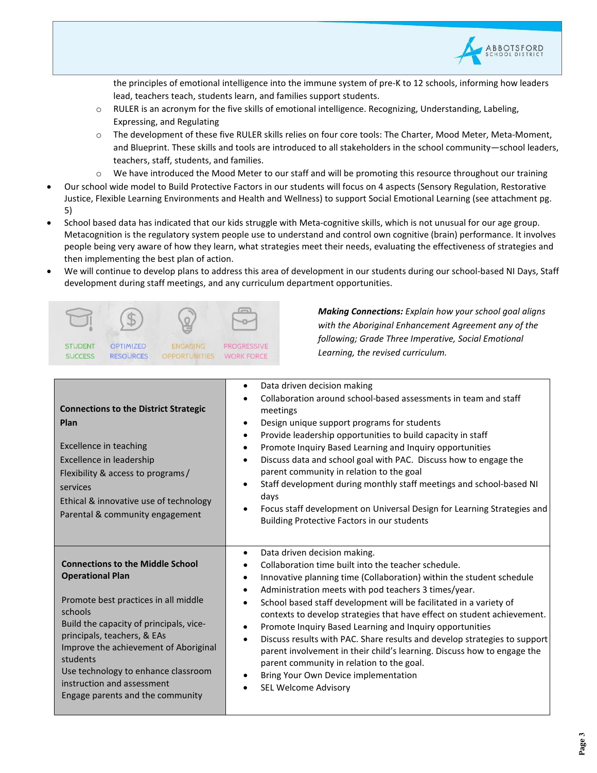

the principles of emotional intelligence into the immune system of pre-K to 12 schools, informing how leaders lead, teachers teach, students learn, and families support students.

- $\circ$  RULER is an acronym for the five skills of emotional intelligence. Recognizing, Understanding, Labeling, Expressing, and Regulating
- o The development of these five RULER skills relies on four core tools: The Charter, Mood Meter, Meta-Moment, and Blueprint. These skills and tools are introduced to all stakeholders in the school community—school leaders, teachers, staff, students, and families.
- o We have introduced the Mood Meter to our staff and will be promoting this resource throughout our training
- Our school wide model to Build Protective Factors in our students will focus on 4 aspects (Sensory Regulation, Restorative Justice, Flexible Learning Environments and Health and Wellness) to support Social Emotional Learning (see attachment pg. 5)
- School based data has indicated that our kids struggle with Meta-cognitive skills, which is not unusual for our age group. Metacognition is the regulatory system people use to understand and control own cognitive (brain) performance. It involves people being very aware of how they learn, what strategies meet their needs, evaluating the effectiveness of strategies and then implementing the best plan of action.
- We will continue to develop plans to address this area of development in our students during our school-based NI Days, Staff development during staff meetings, and any curriculum department opportunities.



*Making Connections: Explain how your school goal aligns with the Aboriginal Enhancement Agreement any of the following; Grade Three Imperative, Social Emotional Learning, the revised curriculum.*

| <b>Connections to the District Strategic</b><br>Plan<br><b>Excellence in teaching</b><br>Excellence in leadership<br>Flexibility & access to programs/<br>services<br>Ethical & innovative use of technology<br>Parental & community engagement                                                                                                               | Data driven decision making<br>٠<br>Collaboration around school-based assessments in team and staff<br>meetings<br>Design unique support programs for students<br>$\bullet$<br>Provide leadership opportunities to build capacity in staff<br>$\bullet$<br>Promote Inquiry Based Learning and Inquiry opportunities<br>$\bullet$<br>Discuss data and school goal with PAC. Discuss how to engage the<br>$\bullet$<br>parent community in relation to the goal<br>Staff development during monthly staff meetings and school-based NI<br>$\bullet$<br>days<br>Focus staff development on Universal Design for Learning Strategies and<br>$\bullet$<br>Building Protective Factors in our students                                                                                                      |
|---------------------------------------------------------------------------------------------------------------------------------------------------------------------------------------------------------------------------------------------------------------------------------------------------------------------------------------------------------------|-------------------------------------------------------------------------------------------------------------------------------------------------------------------------------------------------------------------------------------------------------------------------------------------------------------------------------------------------------------------------------------------------------------------------------------------------------------------------------------------------------------------------------------------------------------------------------------------------------------------------------------------------------------------------------------------------------------------------------------------------------------------------------------------------------|
| <b>Connections to the Middle School</b><br><b>Operational Plan</b><br>Promote best practices in all middle<br>schools<br>Build the capacity of principals, vice-<br>principals, teachers, & EAs<br>Improve the achievement of Aboriginal<br>students<br>Use technology to enhance classroom<br>instruction and assessment<br>Engage parents and the community | Data driven decision making.<br>$\bullet$<br>Collaboration time built into the teacher schedule.<br>Innovative planning time (Collaboration) within the student schedule<br>$\bullet$<br>Administration meets with pod teachers 3 times/year.<br>$\bullet$<br>School based staff development will be facilitated in a variety of<br>$\bullet$<br>contexts to develop strategies that have effect on student achievement.<br>Promote Inquiry Based Learning and Inquiry opportunities<br>$\bullet$<br>Discuss results with PAC. Share results and develop strategies to support<br>$\bullet$<br>parent involvement in their child's learning. Discuss how to engage the<br>parent community in relation to the goal.<br>Bring Your Own Device implementation<br>٠<br>SEL Welcome Advisory<br>$\bullet$ |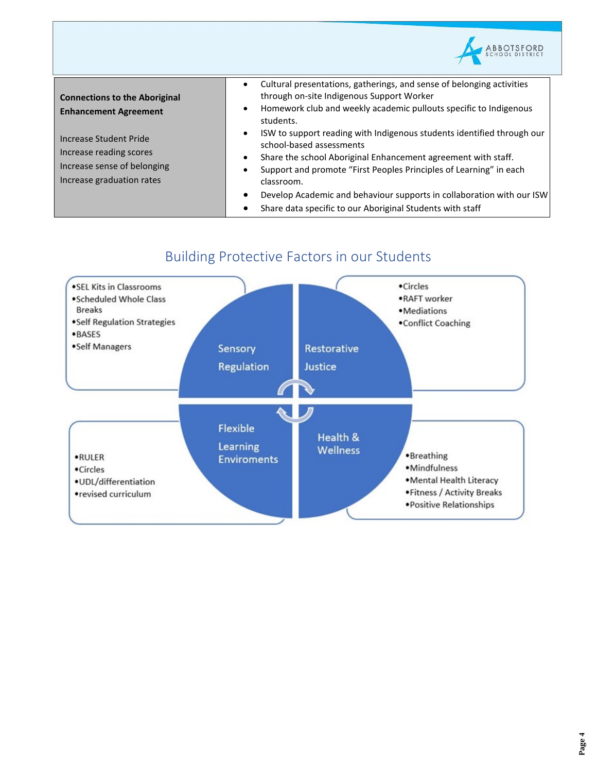| <b>Connections to the Aboriginal</b><br><b>Enhancement Agreement</b>                                          | Cultural presentations, gatherings, and sense of belonging activities<br>through on-site Indigenous Support Worker<br>Homework club and weekly academic pullouts specific to Indigenous<br>$\bullet$<br>students.                                                                                                                                                                                                                         |
|---------------------------------------------------------------------------------------------------------------|-------------------------------------------------------------------------------------------------------------------------------------------------------------------------------------------------------------------------------------------------------------------------------------------------------------------------------------------------------------------------------------------------------------------------------------------|
| Increase Student Pride<br>Increase reading scores<br>Increase sense of belonging<br>Increase graduation rates | ISW to support reading with Indigenous students identified through our<br>$\bullet$<br>school-based assessments<br>Share the school Aboriginal Enhancement agreement with staff.<br>Support and promote "First Peoples Principles of Learning" in each<br>٠<br>classroom.<br>Develop Academic and behaviour supports in collaboration with our ISW<br>$\bullet$<br>Share data specific to our Aboriginal Students with staff<br>$\bullet$ |

## Building Protective Factors in our Students